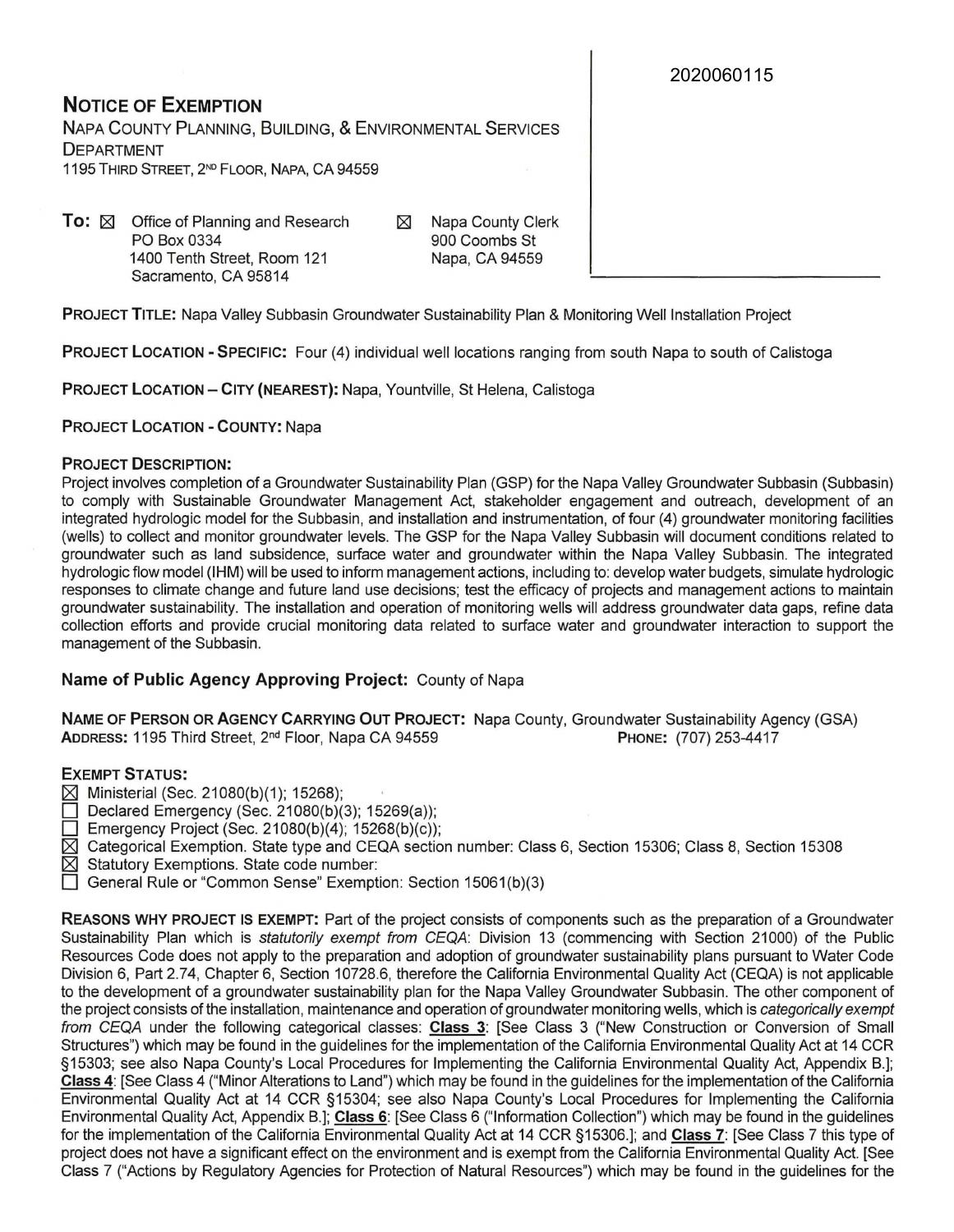2020060115

**NOTICE OF EXEMPTION**  NAPA COUNTY PLANNING, BUILDING, & ENVIRONMENTAL SERVICES DEPARTMENT 1195 THIRD STREET, 2<sup>ND</sup> FLOOR, NAPA, CA 94559

**To:**  $\boxtimes$  Office of Planning and Research PO Box 0334 1400 Tenth Street, Room 121 Sacramento, CA 95814

C8l Napa County Clerk 900 Coombs St Napa, CA 94559

**PROJECT TITLE:** Napa Valley Subbasin Groundwater Sustainability Plan & Monitoring Well Installation Project

**PROJECT LOCATION -SPECIFIC:** Four (4) individual well locations ranging from south Napa to south of Calistoga

**PROJECT LOCATION - CITY (NEAREST):** Napa, Yountville, St Helena, Calistoga

**PROJECT LOCATION - COUNTY:** Napa

## **PROJECT DESCRIPTION:**

Project involves completion of a Groundwater Sustainability Plan (GSP) for the Napa Valley Groundwater Subbasin (Subbasin) to comply with Sustainable Groundwater Management Act, stakeholder engagement and outreach, development of an integrated hydrologic model for the Subbasin, and installation and instrumentation, of four (4) groundwater monitoring facilities (wells) to collect and monitor groundwater levels. The GSP for the Napa Valley Subbasin will document conditions related to groundwater such as land subsidence, surface water and groundwater within the Napa Valley Subbasin. The integrated hydrologic flow model (IHM) will be used to inform management actions, including to: develop water budgets, simulate hydrologic responses to climate change and future land use decisions; test the efficacy of projects and management actions to maintain groundwater sustainability. The installation and operation of monitoring wells will address groundwater data gaps, refine data collection efforts and provide crucial monitoring data related to surface water and groundwater interaction to support the management of the Subbasin.

## **Name of Public Agency Approving Project:** County of Napa

**NAME OF PERSON OR AGENCY CARRYING OUT PROJECT:** Napa County, Groundwater Sustainability Agency (GSA) **ADDRESS:** 1195 Third Street, 2nd Floor, Napa CA 94559 **PHONE:** (707) 253-4417

### **EXEMPT STATUS:**

- $[8]$  Ministerial (Sec. 21080(b)(1); 15268);
- Declared Emergency (Sec. 21080(b)(3); 15269(a));
- Emergency Project (Sec. 21080(b)(4); 15268(b)(c));
- [8l Categorical Exemption. State type and CEQA section number: Class 6, Section 15306; Class 8, Section 15308
- $[8]$  Statutory Exemptions. State code number:
- General Rule or "Common Sense" Exemption: Section 15061(b)(3)

**REASONS WHY PROJECT IS EXEMPT:** Part of the project consists of components such as the preparation of a Groundwater Sustainability Plan which is statutorily exempt from CEQA: Division 13 (commencing with Section 21000) of the Public Resources Code does not apply to the preparation and adoption of groundwater sustainability plans pursuant to Water Code Division 6, Part 2.74, Chapter 6, Section 10728.6, therefore the California Environmental Quality Act (CEQA) is not applicable to the development of a groundwater sustainability plan for the Napa Valley Groundwater Subbasin. The other component of the project consists of the installation, maintenance and operation of groundwater monitoring wells, which is categorically exempt from CEQA under the following categorical classes: **Class 3:** [See Class 3 ("New Construction or Conversion of Small Structures") which may be found in the guidelines for the implementation of the California Environmental Quality Act at 14 CCR §15303; see also Napa County's Local Procedures for Implementing the California Environmental Quality Act, Appendix B.]; **Class 4:** [See Class 4 ("Minor Alterations to Land") which may be found in the guidelines for the implementation of the California Environmental Quality Act at 14 CCR §15304; see also Napa County's Local Procedures for Implementing the California Environmental Quality Act, Appendix B.]; **Class 6:** [See Class 6 ("Information Collection") which may be found in the guidelines for the implementation of the California Environmental Quality Act at 14 CCR §15306.]; and **Class 7:** [See Class 7 this type of project does not have a significant effect on the environment and is exempt from the California Environmental Quality Act. [See Class 7 ("Actions by Regulatory Agencies for Protection of Natural Resources") which may be found in the guidelines for the